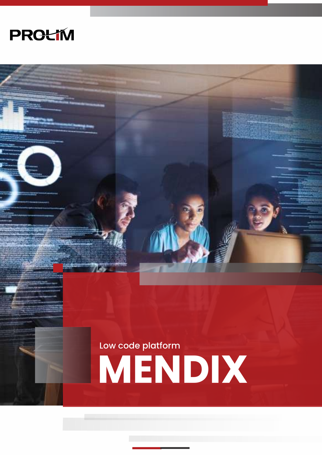

**MEND IX** Low code platform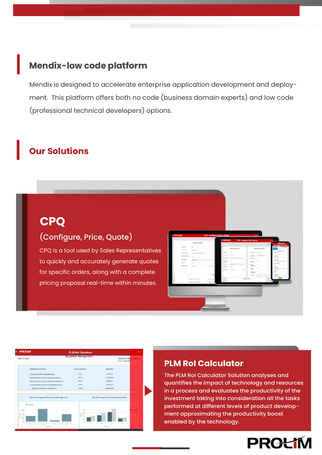#### **Mendix-low code platform**

Mendix is designed to accelerate enterprise application development and deployment. This platform offers both no code (business domain experts) and low code (professional technical developers) options.

### **Our Solutions**

# **PQ**

#### $(Confi<sub>g</sub>, p<sub>ri<sub>0</sub></sub>, p<sub>vi<sub>0</sub></sub>)$ (Configure, Price, Quote)

CPQ is a tool used by Sales Representatives  $\frac{1}{\sqrt{2}}$  to quickly and accurately generate quotes for specific orders, along with a complete<br>resource Management or along with a complete pricing proposal real-time within minutes.

|                                 | <b>Traject Information</b><br><b>Contractor</b>                                                                  |                |  | <b>I PROLIM</b>              |                                                                                                                                   | CPG : Configure-Price-Quete          |                               | <b>Carried</b><br><b>IMBOLDA</b><br>-<br><b>CALCUMBER-PRINTING</b> |                                                       |  |
|---------------------------------|------------------------------------------------------------------------------------------------------------------|----------------|--|------------------------------|-----------------------------------------------------------------------------------------------------------------------------------|--------------------------------------|-------------------------------|--------------------------------------------------------------------|-------------------------------------------------------|--|
| <b>Danmark</b>                  | $\frac{1}{2} \left( \frac{1}{2} \right) \left( \frac{1}{2} \right) \left( \frac{1}{2} \right)$<br><b>Latings</b> |                |  |                              | <b>Project Afformation</b>                                                                                                        |                                      | <b>Televine Specification</b> |                                                                    |                                                       |  |
| Arrestore<br><b>San America</b> | services.<br>Licensed and data through                                                                           |                |  | <b>Service</b>               | ----<br>$\frac{1}{2} \left( \frac{1}{2} \right) \left( \frac{1}{2} \right) \left( \frac{1}{2} \right) \left( \frac{1}{2} \right)$ | <b>Alaka Car</b>                     | <b>Controller Controller</b>  |                                                                    | <b>THEFT RESIDENT</b><br><b>Support</b>               |  |
| Associated States               | $\sim$                                                                                                           |                |  | <b>Service</b>               | contractor                                                                                                                        | <b>Bancheriner</b><br><b>Grante</b>  | London guidance               | -                                                                  | $\sim$<br>Secondary of                                |  |
| $\sim$                          | --                                                                                                               |                |  | <b>GRANDS</b>                | complementary than a decision for their                                                                                           | takarat-                             | <b>Service</b>                |                                                                    | <b>Service</b>                                        |  |
| akitatan                        | dick property for<br>--                                                                                          |                |  | <b>Element</b><br>detecting. | $\frac{1}{2}$                                                                                                                     | to the co-<br><b>Separate</b>        | $\sim$                        | ٠                                                                  | <b>Scott and Color</b><br>and committee area in their |  |
| <b>Deve-</b>                    | mar.                                                                                                             |                |  | provided their               | complete in                                                                                                                       | to last                              | ×                             | $\alpha$                                                           | <b>Northern Millers</b><br>٠<br>$\sim$                |  |
| <b>bolivey link</b>             | 1446 STR                                                                                                         | ٠              |  | <b>Starting</b>              | $-$                                                                                                                               | <b>Telephone</b><br><b>HEATLE</b>    | ÷.<br>$\sim$                  | $\sim$                                                             | An America<br><b>Marketing</b>                        |  |
|                                 |                                                                                                                  |                |  | <b>STORY OF</b>              | ٠<br><b>SHARE</b>                                                                                                                 | <b>WARRANT</b><br><b>Service Co.</b> |                               | ۰                                                                  | <b>Lances</b>                                         |  |
|                                 |                                                                                                                  |                |  |                              |                                                                                                                                   | <b>Separate</b>                      | $\sim$<br>œ.                  |                                                                    | $\sim$                                                |  |
|                                 |                                                                                                                  | terri          |  |                              |                                                                                                                                   | <b>High cost</b>                     | Limited.                      | <b>COLOR</b>                                                       | <b>Immuno</b><br>$-0.00$                              |  |
|                                 | In consumer Monday Law                                                                                           | Import for any |  | <b>Bankers (Senior</b>       |                                                                                                                                   |                                      |                               |                                                                    |                                                       |  |
|                                 | <b>REGISTER SECRETARY</b>                                                                                        | stars and      |  |                              |                                                                                                                                   |                                      |                               |                                                                    |                                                       |  |
|                                 |                                                                                                                  |                |  |                              |                                                                                                                                   |                                      |                               |                                                                    |                                                       |  |
|                                 |                                                                                                                  |                |  |                              |                                                                                                                                   |                                      |                               |                                                                    |                                                       |  |
|                                 |                                                                                                                  |                |  |                              |                                                                                                                                   |                                      |                               |                                                                    |                                                       |  |
|                                 |                                                                                                                  |                |  |                              |                                                                                                                                   |                                      |                               |                                                                    |                                                       |  |
|                                 |                                                                                                                  |                |  |                              |                                                                                                                                   |                                      |                               |                                                                    |                                                       |  |

| <b>PROLIM</b>                                    | <b>PLM Rol Calculator</b>  |      |                                        |                                           | Lossue               |
|--------------------------------------------------|----------------------------|------|----------------------------------------|-------------------------------------------|----------------------|
| Client / TC Client                               | <b>Document Management</b> |      |                                        | Prepared By : Prol<br>Itano 1 24-5ap-2020 | <b>n Consultancy</b> |
| <b>Business Activities</b>                       | Improvement                |      |                                        |                                           |                      |
| (1) Cost apent discovering documents             | 1879<br>世話を                |      | cred and out                           |                                           |                      |
| (2) Average time spent in acquiring documents    | 10000<br>AT. 00 %          |      | 91.857.500.08                          |                                           |                      |
| (3) Cost spent recreating a replacement document | <b>CT 20 %</b>             |      | 8103 906 08                            |                                           |                      |
| Hi Average time spent in processing dacuments:   | 22.88%                     |      | <b>1884,175.00</b>                     |                                           |                      |
| <b>Benefit from Disconsent Management</b>        | <b>12.99%</b>              |      | <b><i>RESRESZERU</i></b>               |                                           |                      |
| Benefit of Improved Document Management.         |                            |      | Benefit Compared to Industry Standards |                                           |                      |
| <b>B</b> . Bonefits                              |                            |      |                                        |                                           |                      |
| 1.114                                            | $\mathbb{R}^2$             |      |                                        |                                           |                      |
| 答:1M                                             | Cost.                      |      |                                        |                                           |                      |
| 15.044                                           |                            |      |                                        |                                           |                      |
|                                                  |                            |      |                                        |                                           |                      |
| <b>GB</b><br>$\overline{a}$<br>m                 | 10                         | f(T) | (2)<br>11                              | 141                                       |                      |

#### **PLM RoI Calculator**

The PLM RoI Calculator Solution analyses and quantifies the impact of technology and resources in a process and evaluates the productivity of the investment taking into consideration all the tasks performed at different levels of product development approximating the productivity boost enabled by the technology.

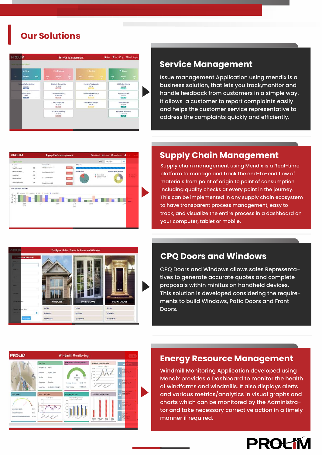

**Our Solutions**

#### **Service Management**

Issue management Application using mendix is a business solution, that lets you track,monitor and handle feedback from customers in a simple way. It allows a customer to report complaints easily and helps the customer service representative to address the complaints quickly and efficiently.

# **PROLIN Sunniv Chain** il in 1964 **CONTRACTOR STATISTICS**

#### **Supply Chain Management**

Supply chain management using Mendix is a Real-time platform to manage and track the end-to-end flow of materials from point of origin to point of consumption including quality checks at every point in the journey. This can be implemented in any supply chain ecosystem to have transparent process management, easy to track, and visualize the entire process in a dashboard on your computer, tablet or mobile.



#### **CPQ Doors and Windows**

CPQ Doors and Windows allows sales Representatives to generate accurate quotes and complete proposals within minitus on handheld devices. This solution is developed considering the requirements to build Windows, Patio Doors and Front Doors.



#### **Energy Resource Management**

Windmill Monitoring Application developed using Mendix provides a Dashboard to monitor the health of windfarms and windmills. It also displays alerts and various metrics/analytics in visual graphs and charts which can be monitored by the Administrator and take necessary corrective action in a timely manner if required.